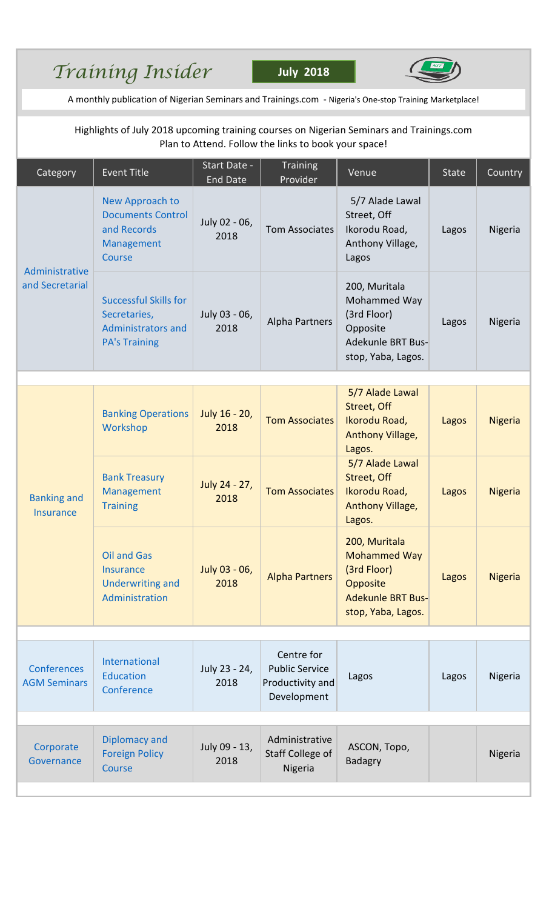## *Training Insider*

**July 2018** 



A monthly publication of Nigerian Seminars and Trainings.com - Nigeria's One-stop Training Marketplace!

## Highlights of July 2018 upcoming training courses on Nigerian Seminars and Trainings.com Plan to Attend. Follow the links to book your space!

| Category                           | <b>Event Title</b>                                                                                | Start Date -<br><b>End Date</b> | <b>Training</b><br>Provider                                            | Venue                                                                                                             | <b>State</b> | Country        |
|------------------------------------|---------------------------------------------------------------------------------------------------|---------------------------------|------------------------------------------------------------------------|-------------------------------------------------------------------------------------------------------------------|--------------|----------------|
| Administrative<br>and Secretarial  | New Approach to<br><b>Documents Control</b><br>and Records<br>Management<br>Course                | July 02 - 06,<br>2018           | Tom Associates                                                         | 5/7 Alade Lawal<br>Street, Off<br>Ikorodu Road,<br>Anthony Village,<br>Lagos                                      | Lagos        | Nigeria        |
|                                    | <b>Successful Skills for</b><br>Secretaries,<br><b>Administrators and</b><br><b>PA's Training</b> | July 03 - 06,<br>2018           | <b>Alpha Partners</b>                                                  | 200, Muritala<br>Mohammed Way<br>(3rd Floor)<br>Opposite<br><b>Adekunle BRT Bus-</b><br>stop, Yaba, Lagos.        | Lagos        | Nigeria        |
|                                    |                                                                                                   |                                 |                                                                        | 5/7 Alade Lawal                                                                                                   |              |                |
| <b>Banking and</b><br>Insurance    | <b>Banking Operations</b><br>Workshop                                                             | July 16 - 20,<br>2018           | <b>Tom Associates</b>                                                  | Street, Off<br>Ikorodu Road,<br><b>Anthony Village,</b><br>Lagos.                                                 | Lagos        | <b>Nigeria</b> |
|                                    | <b>Bank Treasury</b><br>Management<br><b>Training</b>                                             | July 24 - 27,<br>2018           | <b>Tom Associates</b>                                                  | 5/7 Alade Lawal<br>Street, Off<br>Ikorodu Road,<br><b>Anthony Village,</b><br>Lagos.                              | Lagos        | <b>Nigeria</b> |
|                                    | <b>Oil and Gas</b><br><b>Insurance</b><br><b>Underwriting and</b><br>Administration               | July 03 - 06,<br>2018           | <b>Alpha Partners</b>                                                  | 200, Muritala<br><b>Mohammed Way</b><br>(3rd Floor)<br>Opposite<br><b>Adekunle BRT Bus-</b><br>stop, Yaba, Lagos. | Lagos        | <b>Nigeria</b> |
|                                    |                                                                                                   |                                 |                                                                        |                                                                                                                   |              |                |
| Conferences<br><b>AGM Seminars</b> | <b>International</b><br><b>Education</b><br>Conference                                            | July 23 - 24,<br>2018           | Centre for<br><b>Public Service</b><br>Productivity and<br>Development | Lagos                                                                                                             | Lagos        | Nigeria        |
|                                    |                                                                                                   |                                 |                                                                        |                                                                                                                   |              |                |
| Corporate<br>Governance            | Diplomacy and<br><b>Foreign Policy</b><br>Course                                                  | July 09 - 13,<br>2018           | Administrative<br>Staff College of<br>Nigeria                          | ASCON, Topo,<br><b>Badagry</b>                                                                                    |              | Nigeria        |
|                                    |                                                                                                   |                                 |                                                                        |                                                                                                                   |              |                |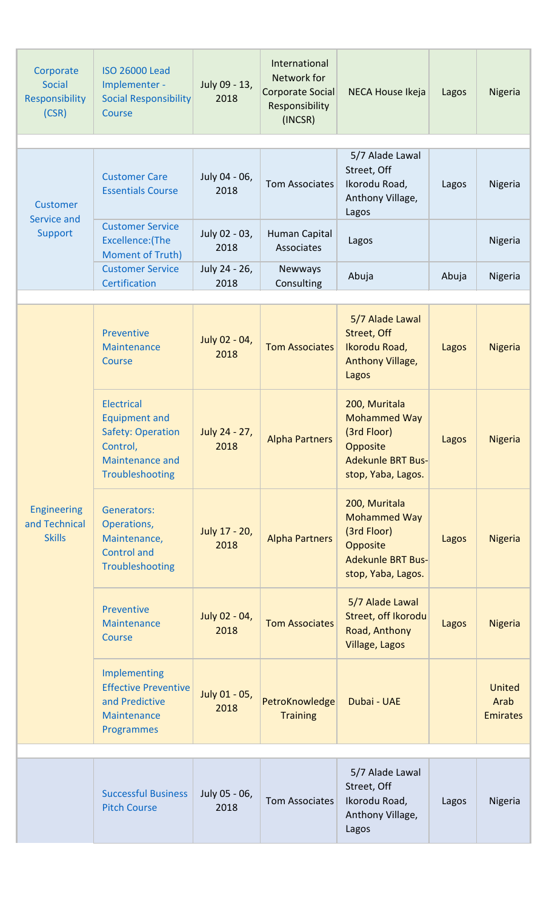| Corporate<br>Social<br>Responsibility<br>(CSR)       | <b>ISO 26000 Lead</b><br>Implementer -<br><b>Social Responsibility</b><br>Course                                               | July 09 - 13,<br>2018 | International<br>Network for<br>Corporate Social<br>Responsibility<br>(INCSR) | NECA House Ikeja                                                                                                  | Lagos | Nigeria                                  |
|------------------------------------------------------|--------------------------------------------------------------------------------------------------------------------------------|-----------------------|-------------------------------------------------------------------------------|-------------------------------------------------------------------------------------------------------------------|-------|------------------------------------------|
|                                                      |                                                                                                                                |                       |                                                                               |                                                                                                                   |       |                                          |
| <b>Customer</b>                                      | <b>Customer Care</b><br><b>Essentials Course</b>                                                                               | July 04 - 06,<br>2018 | <b>Tom Associates</b>                                                         | 5/7 Alade Lawal<br>Street, Off<br>Ikorodu Road,<br>Anthony Village,<br>Lagos                                      | Lagos | Nigeria                                  |
| Service and<br>Support                               | <b>Customer Service</b><br>Excellence: (The<br><b>Moment of Truth)</b>                                                         | July 02 - 03,<br>2018 | Human Capital<br>Associates                                                   | Lagos                                                                                                             |       | Nigeria                                  |
|                                                      | <b>Customer Service</b><br>Certification                                                                                       | July 24 - 26,<br>2018 | Newways<br>Consulting                                                         | Abuja                                                                                                             | Abuja | Nigeria                                  |
|                                                      |                                                                                                                                |                       |                                                                               |                                                                                                                   |       |                                          |
| <b>Engineering</b><br>and Technical<br><b>Skills</b> | Preventive<br>Maintenance<br>Course                                                                                            | July 02 - 04,<br>2018 | <b>Tom Associates</b>                                                         | 5/7 Alade Lawal<br>Street, Off<br>Ikorodu Road,<br><b>Anthony Village,</b><br>Lagos                               | Lagos | <b>Nigeria</b>                           |
|                                                      | <b>Electrical</b><br><b>Equipment and</b><br><b>Safety: Operation</b><br>Control,<br><b>Maintenance and</b><br>Troubleshooting | July 24 - 27,<br>2018 | <b>Alpha Partners</b>                                                         | 200, Muritala<br><b>Mohammed Way</b><br>(3rd Floor)<br>Opposite<br><b>Adekunle BRT Bus-</b><br>stop, Yaba, Lagos. | Lagos | <b>Nigeria</b>                           |
|                                                      | <b>Generators:</b><br>Operations,<br>Maintenance,<br><b>Control and</b><br>Troubleshooting                                     | July 17 - 20,<br>2018 | <b>Alpha Partners</b>                                                         | 200, Muritala<br><b>Mohammed Way</b><br>(3rd Floor)<br>Opposite<br><b>Adekunle BRT Bus-</b><br>stop, Yaba, Lagos. | Lagos | <b>Nigeria</b>                           |
|                                                      | Preventive<br>Maintenance<br>Course                                                                                            | July 02 - 04,<br>2018 | <b>Tom Associates</b>                                                         | 5/7 Alade Lawal<br>Street, off Ikorodu<br>Road, Anthony<br>Village, Lagos                                         | Lagos | <b>Nigeria</b>                           |
|                                                      | Implementing<br><b>Effective Preventive</b><br>and Predictive<br>Maintenance<br><b>Programmes</b>                              | July 01 - 05,<br>2018 | PetroKnowledge<br><b>Training</b>                                             | Dubai - UAE                                                                                                       |       | <b>United</b><br>Arab<br><b>Emirates</b> |
|                                                      |                                                                                                                                |                       |                                                                               |                                                                                                                   |       |                                          |
|                                                      | <b>Successful Business</b><br><b>Pitch Course</b>                                                                              | July 05 - 06,<br>2018 | <b>Tom Associates</b>                                                         | 5/7 Alade Lawal<br>Street, Off<br>Ikorodu Road,<br>Anthony Village,<br>Lagos                                      | Lagos | Nigeria                                  |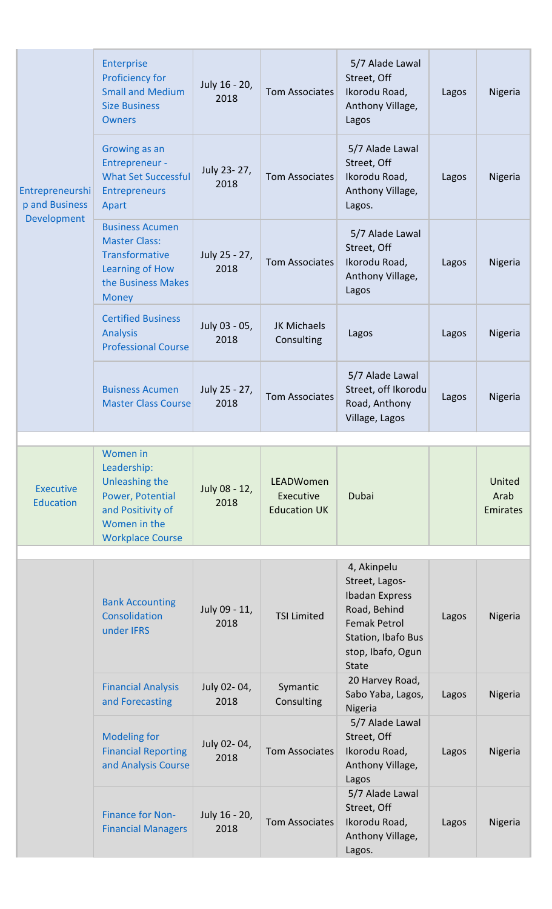|                                      | <b>Enterprise</b><br><b>Proficiency for</b><br><b>Small and Medium</b><br><b>Size Business</b><br><b>Owners</b>           | July 16 - 20,<br>2018 | <b>Tom Associates</b>                                | 5/7 Alade Lawal<br>Street, Off<br>Ikorodu Road,<br>Anthony Village,<br>Lagos                                                              | Lagos | Nigeria                    |
|--------------------------------------|---------------------------------------------------------------------------------------------------------------------------|-----------------------|------------------------------------------------------|-------------------------------------------------------------------------------------------------------------------------------------------|-------|----------------------------|
| Entrepreneurshi<br>p and Business    | Growing as an<br><b>Entrepreneur -</b><br><b>What Set Successful</b><br><b>Entrepreneurs</b><br>Apart                     | July 23-27,<br>2018   | <b>Tom Associates</b>                                | 5/7 Alade Lawal<br>Street, Off<br>Ikorodu Road,<br>Anthony Village,<br>Lagos.                                                             | Lagos | Nigeria                    |
| Development                          | <b>Business Acumen</b><br><b>Master Class:</b><br>Transformative<br>Learning of How<br>the Business Makes<br><b>Money</b> | July 25 - 27,<br>2018 | <b>Tom Associates</b>                                | 5/7 Alade Lawal<br>Street, Off<br>Ikorodu Road,<br>Anthony Village,<br>Lagos                                                              | Lagos | Nigeria                    |
|                                      | <b>Certified Business</b><br><b>Analysis</b><br><b>Professional Course</b>                                                | July 03 - 05,<br>2018 | JK Michaels<br>Consulting                            | Lagos                                                                                                                                     | Lagos | Nigeria                    |
|                                      | <b>Buisness Acumen</b><br><b>Master Class Course</b>                                                                      | July 25 - 27,<br>2018 | <b>Tom Associates</b>                                | 5/7 Alade Lawal<br>Street, off Ikorodu<br>Road, Anthony<br>Village, Lagos                                                                 | Lagos | Nigeria                    |
|                                      | Women in                                                                                                                  |                       |                                                      |                                                                                                                                           |       |                            |
| <b>Executive</b><br><b>Education</b> | Leadership:<br><b>Unleashing the</b><br>Power, Potential<br>and Positivity of<br>Women in the<br><b>Workplace Course</b>  | July 08 - 12,<br>2018 | <b>LEADWomen</b><br>Executive<br><b>Education UK</b> | Dubai                                                                                                                                     |       | United<br>Arab<br>Emirates |
|                                      |                                                                                                                           |                       |                                                      | 4, Akinpelu                                                                                                                               |       |                            |
|                                      | <b>Bank Accounting</b><br>Consolidation<br>under IFRS                                                                     | July 09 - 11,<br>2018 | <b>TSI Limited</b>                                   | Street, Lagos-<br><b>Ibadan Express</b><br>Road, Behind<br><b>Femak Petrol</b><br>Station, Ibafo Bus<br>stop, Ibafo, Ogun<br><b>State</b> | Lagos | Nigeria                    |
|                                      | <b>Financial Analysis</b><br>and Forecasting                                                                              | July 02-04,<br>2018   | Symantic<br>Consulting                               | 20 Harvey Road,<br>Sabo Yaba, Lagos,<br>Nigeria                                                                                           | Lagos | Nigeria                    |
|                                      | <b>Modeling for</b><br><b>Financial Reporting</b><br>and Analysis Course                                                  | July 02-04,<br>2018   | <b>Tom Associates</b>                                | 5/7 Alade Lawal<br>Street, Off<br>Ikorodu Road,<br>Anthony Village,<br>Lagos                                                              | Lagos | Nigeria                    |
|                                      | <b>Finance for Non-</b><br><b>Financial Managers</b>                                                                      | July 16 - 20,<br>2018 | Tom Associates                                       | 5/7 Alade Lawal<br>Street, Off<br>Ikorodu Road,<br>Anthony Village,<br>Lagos.                                                             | Lagos | Nigeria                    |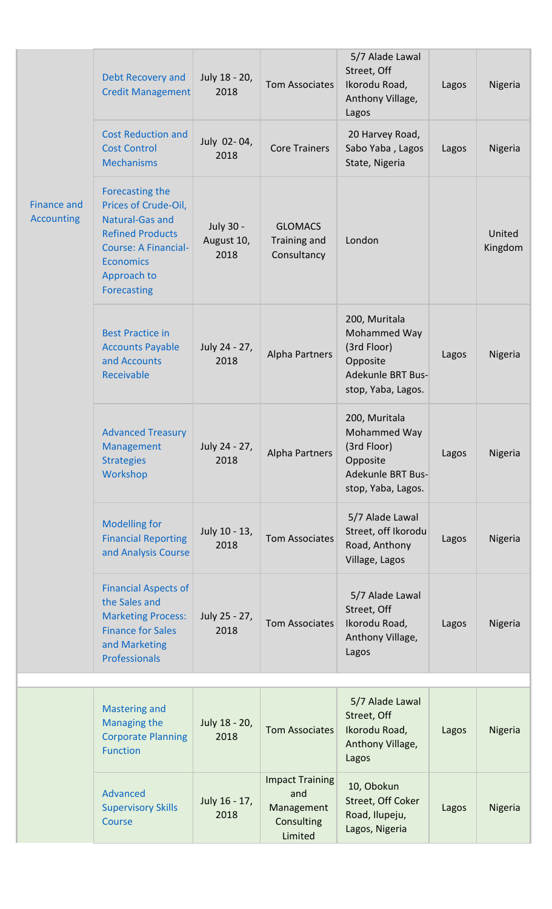|                                         | Debt Recovery and<br><b>Credit Management</b>                                                                                                                                        | July 18 - 20,<br>2018           | Tom Associates                                                       | 5/7 Alade Lawal<br>Street, Off<br>Ikorodu Road,<br>Anthony Village,<br>Lagos                        | Lagos | Nigeria           |
|-----------------------------------------|--------------------------------------------------------------------------------------------------------------------------------------------------------------------------------------|---------------------------------|----------------------------------------------------------------------|-----------------------------------------------------------------------------------------------------|-------|-------------------|
|                                         | <b>Cost Reduction and</b><br><b>Cost Control</b><br><b>Mechanisms</b>                                                                                                                | July 02-04,<br>2018             | <b>Core Trainers</b>                                                 | 20 Harvey Road,<br>Sabo Yaba, Lagos<br>State, Nigeria                                               | Lagos | Nigeria           |
| <b>Finance and</b><br><b>Accounting</b> | Forecasting the<br>Prices of Crude-Oil,<br><b>Natural-Gas and</b><br><b>Refined Products</b><br><b>Course: A Financial-</b><br><b>Economics</b><br>Approach to<br><b>Forecasting</b> | July 30 -<br>August 10,<br>2018 | <b>GLOMACS</b><br>Training and<br>Consultancy                        | London                                                                                              |       | United<br>Kingdom |
|                                         | <b>Best Practice in</b><br><b>Accounts Payable</b><br>and Accounts<br>Receivable                                                                                                     | July 24 - 27,<br>2018           | <b>Alpha Partners</b>                                                | 200, Muritala<br>Mohammed Way<br>(3rd Floor)<br>Opposite<br>Adekunle BRT Bus-<br>stop, Yaba, Lagos. | Lagos | Nigeria           |
|                                         | <b>Advanced Treasury</b><br>Management<br><b>Strategies</b><br>Workshop                                                                                                              | July 24 - 27,<br>2018           | Alpha Partners                                                       | 200, Muritala<br>Mohammed Way<br>(3rd Floor)<br>Opposite<br>Adekunle BRT Bus-<br>stop, Yaba, Lagos. | Lagos | Nigeria           |
|                                         | <b>Modelling for</b><br><b>Financial Reporting</b><br>and Analysis Course                                                                                                            | July 10 - 13,<br>2018           | <b>Tom Associates</b>                                                | 5/7 Alade Lawal<br>Street, off Ikorodu<br>Road, Anthony<br>Village, Lagos                           | Lagos | Nigeria           |
|                                         | <b>Financial Aspects of</b><br>the Sales and<br><b>Marketing Process:</b><br><b>Finance for Sales</b><br>and Marketing<br>Professionals                                              | July 25 - 27,<br>2018           | <b>Tom Associates</b>                                                | 5/7 Alade Lawal<br>Street, Off<br>Ikorodu Road,<br>Anthony Village,<br>Lagos                        | Lagos | Nigeria           |
|                                         |                                                                                                                                                                                      |                                 |                                                                      |                                                                                                     |       |                   |
|                                         | <b>Mastering and</b><br>Managing the<br><b>Corporate Planning</b><br><b>Function</b>                                                                                                 | July 18 - 20,<br>2018           | <b>Tom Associates</b>                                                | 5/7 Alade Lawal<br>Street, Off<br>Ikorodu Road,<br>Anthony Village,<br>Lagos                        | Lagos | <b>Nigeria</b>    |
|                                         | Advanced<br><b>Supervisory Skills</b><br>Course                                                                                                                                      | July 16 - 17,<br>2018           | <b>Impact Training</b><br>and<br>Management<br>Consulting<br>Limited | 10, Obokun<br>Street, Off Coker<br>Road, Ilupeju,<br>Lagos, Nigeria                                 | Lagos | Nigeria           |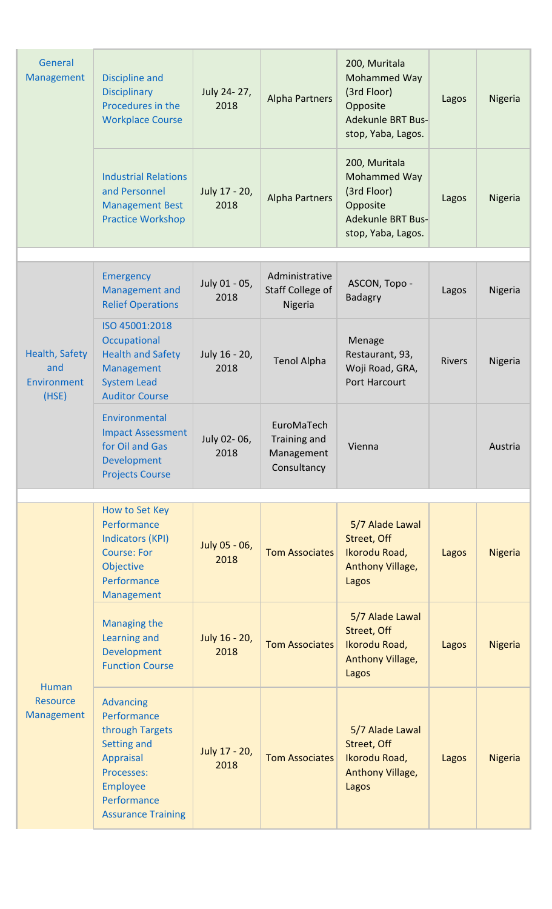| General<br>Management                         | <b>Discipline and</b><br><b>Disciplinary</b><br>Procedures in the<br><b>Workplace Course</b>                                                                | July 24- 27,<br>2018  | <b>Alpha Partners</b>                                   | 200, Muritala<br>Mohammed Way<br>(3rd Floor)<br>Opposite<br><b>Adekunle BRT Bus-</b><br>stop, Yaba, Lagos. | Lagos  | Nigeria        |
|-----------------------------------------------|-------------------------------------------------------------------------------------------------------------------------------------------------------------|-----------------------|---------------------------------------------------------|------------------------------------------------------------------------------------------------------------|--------|----------------|
|                                               | <b>Industrial Relations</b><br>and Personnel<br><b>Management Best</b><br><b>Practice Workshop</b>                                                          | July 17 - 20,<br>2018 | <b>Alpha Partners</b>                                   | 200, Muritala<br>Mohammed Way<br>(3rd Floor)<br>Opposite<br><b>Adekunle BRT Bus-</b><br>stop, Yaba, Lagos. | Lagos  | Nigeria        |
|                                               | <b>Emergency</b>                                                                                                                                            |                       | Administrative                                          |                                                                                                            |        |                |
|                                               | Management and<br><b>Relief Operations</b>                                                                                                                  | July 01 - 05,<br>2018 | <b>Staff College of</b><br>Nigeria                      | ASCON, Topo -<br><b>Badagry</b>                                                                            | Lagos  | Nigeria        |
| Health, Safety<br>and<br>Environment<br>(HSE) | ISO 45001:2018<br>Occupational<br><b>Health and Safety</b><br>Management<br><b>System Lead</b><br><b>Auditor Course</b>                                     | July 16 - 20,<br>2018 | <b>Tenol Alpha</b>                                      | Menage<br>Restaurant, 93,<br>Woji Road, GRA,<br>Port Harcourt                                              | Rivers | Nigeria        |
|                                               | Environmental<br><b>Impact Assessment</b><br>for Oil and Gas<br>Development<br><b>Projects Course</b>                                                       | July 02-06,<br>2018   | EuroMaTech<br>Training and<br>Management<br>Consultancy | Vienna                                                                                                     |        | Austria        |
|                                               | How to Set Key                                                                                                                                              |                       |                                                         |                                                                                                            |        |                |
|                                               | Performance<br><b>Indicators (KPI)</b><br><b>Course: For</b><br>Objective<br>Performance<br>Management                                                      | July 05 - 06,<br>2018 | <b>Tom Associates</b>                                   | 5/7 Alade Lawal<br>Street, Off<br>Ikorodu Road,<br><b>Anthony Village,</b><br>Lagos                        | Lagos  | <b>Nigeria</b> |
| Human<br><b>Resource</b><br>Management        | <b>Managing the</b><br>Learning and<br>Development<br><b>Function Course</b>                                                                                | July 16 - 20,<br>2018 | <b>Tom Associates</b>                                   | 5/7 Alade Lawal<br>Street, Off<br>Ikorodu Road,<br><b>Anthony Village,</b><br>Lagos                        | Lagos  | <b>Nigeria</b> |
|                                               | <b>Advancing</b><br>Performance<br>through Targets<br>Setting and<br>Appraisal<br>Processes:<br><b>Employee</b><br>Performance<br><b>Assurance Training</b> | July 17 - 20,<br>2018 | <b>Tom Associates</b>                                   | 5/7 Alade Lawal<br>Street, Off<br>Ikorodu Road,<br><b>Anthony Village,</b><br>Lagos                        | Lagos  | <b>Nigeria</b> |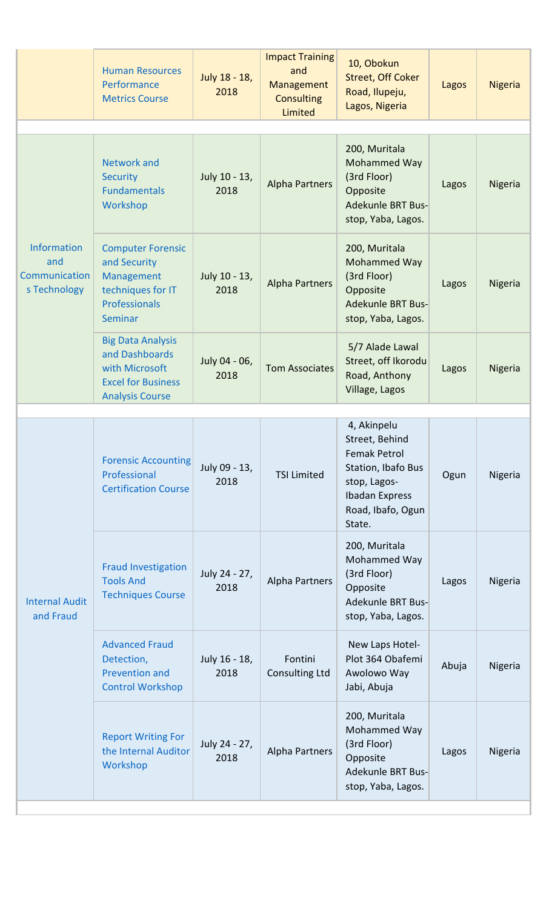|                                                            | <b>Human Resources</b><br>Performance<br><b>Metrics Course</b>                                                      | July 18 - 18,<br>2018 | <b>Impact Training</b><br>and<br><b>Management</b><br><b>Consulting</b><br>Limited | 10, Obokun<br><b>Street, Off Coker</b><br>Road, Ilupeju,<br>Lagos, Nigeria                                                   | Lagos | <b>Nigeria</b> |
|------------------------------------------------------------|---------------------------------------------------------------------------------------------------------------------|-----------------------|------------------------------------------------------------------------------------|------------------------------------------------------------------------------------------------------------------------------|-------|----------------|
|                                                            |                                                                                                                     |                       |                                                                                    |                                                                                                                              |       |                |
| <b>Information</b><br>and<br>Communication<br>s Technology | <b>Network and</b><br><b>Security</b><br><b>Fundamentals</b><br>Workshop                                            | July 10 - 13,<br>2018 | <b>Alpha Partners</b>                                                              | 200, Muritala<br>Mohammed Way<br>(3rd Floor)<br>Opposite<br><b>Adekunle BRT Bus-</b><br>stop, Yaba, Lagos.                   | Lagos | Nigeria        |
|                                                            | <b>Computer Forensic</b><br>and Security<br>Management<br>techniques for IT<br>Professionals<br>Seminar             | July 10 - 13,<br>2018 | <b>Alpha Partners</b>                                                              | 200, Muritala<br>Mohammed Way<br>(3rd Floor)<br>Opposite<br><b>Adekunle BRT Bus-</b><br>stop, Yaba, Lagos.                   | Lagos | Nigeria        |
|                                                            | <b>Big Data Analysis</b><br>and Dashboards<br>with Microsoft<br><b>Excel for Business</b><br><b>Analysis Course</b> | July 04 - 06,<br>2018 | <b>Tom Associates</b>                                                              | 5/7 Alade Lawal<br>Street, off Ikorodu<br>Road, Anthony<br>Village, Lagos                                                    | Lagos | Nigeria        |
|                                                            |                                                                                                                     |                       |                                                                                    | 4, Akinpelu                                                                                                                  |       |                |
| <b>Internal Audit</b><br>and Fraud                         | <b>Forensic Accounting</b><br>Professional<br><b>Certification Course</b>                                           | July 09 - 13,<br>2018 | <b>TSI Limited</b>                                                                 | Street, Behind<br>Femak Petrol<br>Station, Ibafo Bus<br>stop, Lagos-<br><b>Ibadan Express</b><br>Road, Ibafo, Ogun<br>State. | Ogun  | Nigeria        |
|                                                            | <b>Fraud Investigation</b><br><b>Tools And</b><br><b>Techniques Course</b>                                          | July 24 - 27,<br>2018 | <b>Alpha Partners</b>                                                              | 200, Muritala<br>Mohammed Way<br>(3rd Floor)<br>Opposite<br><b>Adekunle BRT Bus-</b><br>stop, Yaba, Lagos.                   | Lagos | Nigeria        |
|                                                            | <b>Advanced Fraud</b><br>Detection,<br><b>Prevention and</b><br><b>Control Workshop</b>                             | July 16 - 18,<br>2018 | Fontini<br><b>Consulting Ltd</b>                                                   | New Laps Hotel-<br>Plot 364 Obafemi<br>Awolowo Way<br>Jabi, Abuja                                                            | Abuja | Nigeria        |
|                                                            | <b>Report Writing For</b><br>the Internal Auditor<br>Workshop                                                       | July 24 - 27,<br>2018 | <b>Alpha Partners</b>                                                              | 200, Muritala<br>Mohammed Way<br>(3rd Floor)<br>Opposite<br><b>Adekunle BRT Bus-</b><br>stop, Yaba, Lagos.                   | Lagos | Nigeria        |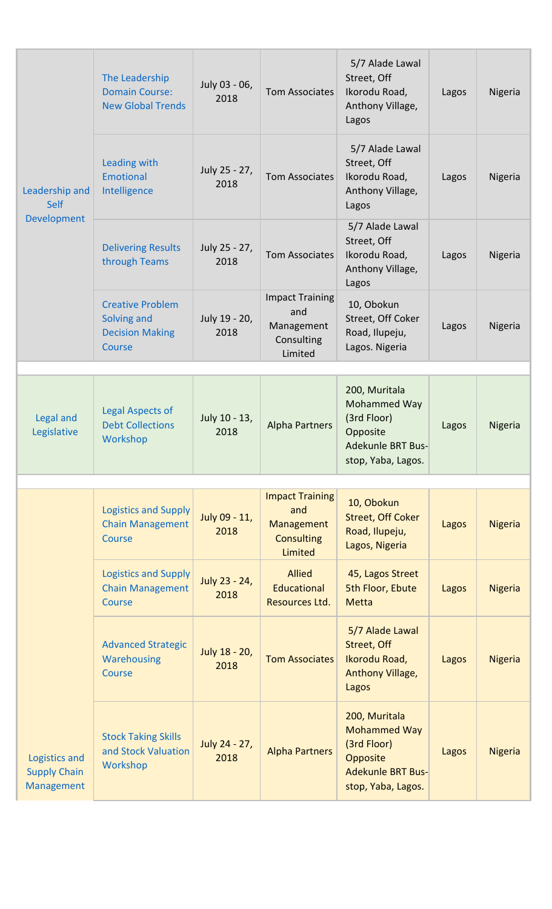| Leadership and<br><b>Self</b>                      | The Leadership<br><b>Domain Course:</b><br><b>New Global Trends</b>        | July 03 - 06,<br>2018 | <b>Tom Associates</b>                                                       | 5/7 Alade Lawal<br>Street, Off<br>Ikorodu Road,<br>Anthony Village,<br>Lagos                                      | Lagos | Nigeria        |
|----------------------------------------------------|----------------------------------------------------------------------------|-----------------------|-----------------------------------------------------------------------------|-------------------------------------------------------------------------------------------------------------------|-------|----------------|
|                                                    | Leading with<br><b>Emotional</b><br>Intelligence                           | July 25 - 27,<br>2018 | <b>Tom Associates</b>                                                       | 5/7 Alade Lawal<br>Street, Off<br>Ikorodu Road,<br>Anthony Village,<br>Lagos                                      | Lagos | Nigeria        |
| Development                                        | <b>Delivering Results</b><br>through Teams                                 | July 25 - 27,<br>2018 | <b>Tom Associates</b>                                                       | 5/7 Alade Lawal<br>Street, Off<br>Ikorodu Road,<br>Anthony Village,<br>Lagos                                      | Lagos | Nigeria        |
|                                                    | <b>Creative Problem</b><br>Solving and<br><b>Decision Making</b><br>Course | July 19 - 20,<br>2018 | <b>Impact Training</b><br>and<br>Management<br>Consulting<br>Limited        | 10, Obokun<br>Street, Off Coker<br>Road, Ilupeju,<br>Lagos. Nigeria                                               | Lagos | Nigeria        |
|                                                    |                                                                            |                       |                                                                             |                                                                                                                   |       |                |
| Legal and<br>Legislative                           | Legal Aspects of<br><b>Debt Collections</b><br>Workshop                    | July 10 - 13,<br>2018 | <b>Alpha Partners</b>                                                       | 200, Muritala<br>Mohammed Way<br>(3rd Floor)<br>Opposite<br><b>Adekunle BRT Bus-</b><br>stop, Yaba, Lagos.        | Lagos | Nigeria        |
|                                                    |                                                                            |                       |                                                                             |                                                                                                                   |       |                |
|                                                    | <b>Logistics and Supply</b><br><b>Chain Management</b><br>Course           | July 09 - 11,<br>2018 | <b>Impact Training</b><br>and<br>Management<br><b>Consulting</b><br>Limited | 10, Obokun<br><b>Street, Off Coker</b><br>Road, Ilupeju,<br>Lagos, Nigeria                                        | Lagos | <b>Nigeria</b> |
|                                                    | <b>Logistics and Supply</b><br><b>Chain Management</b><br>Course           | July 23 - 24,<br>2018 | <b>Allied</b><br>Educational<br>Resources Ltd.                              | 45, Lagos Street<br>5th Floor, Ebute<br><b>Metta</b>                                                              | Lagos | <b>Nigeria</b> |
|                                                    | <b>Advanced Strategic</b><br>Warehousing<br>Course                         | July 18 - 20,<br>2018 | <b>Tom Associates</b>                                                       | 5/7 Alade Lawal<br>Street, Off<br>Ikorodu Road,<br>Anthony Village,<br>Lagos                                      | Lagos | <b>Nigeria</b> |
| Logistics and<br><b>Supply Chain</b><br>Management | <b>Stock Taking Skills</b><br>and Stock Valuation<br>Workshop              | July 24 - 27,<br>2018 | <b>Alpha Partners</b>                                                       | 200, Muritala<br><b>Mohammed Way</b><br>(3rd Floor)<br>Opposite<br><b>Adekunle BRT Bus-</b><br>stop, Yaba, Lagos. | Lagos | <b>Nigeria</b> |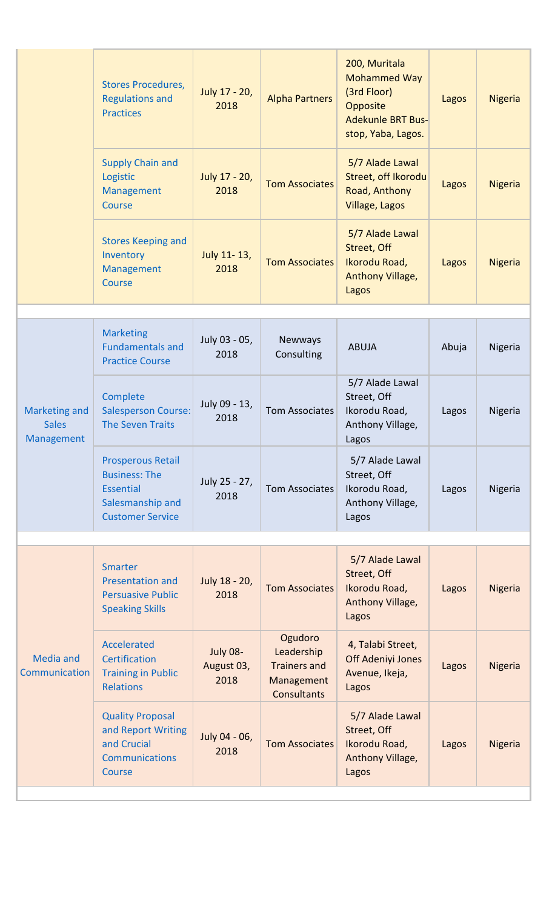|                                             | <b>Stores Procedures,</b><br><b>Regulations and</b><br><b>Practices</b>                                             | July 17 - 20,<br>2018          | <b>Alpha Partners</b>                                                     | 200, Muritala<br><b>Mohammed Way</b><br>(3rd Floor)<br>Opposite<br><b>Adekunle BRT Bus-</b><br>stop, Yaba, Lagos. | Lagos | <b>Nigeria</b> |
|---------------------------------------------|---------------------------------------------------------------------------------------------------------------------|--------------------------------|---------------------------------------------------------------------------|-------------------------------------------------------------------------------------------------------------------|-------|----------------|
|                                             | <b>Supply Chain and</b><br>Logistic<br>Management<br>Course                                                         | July 17 - 20,<br>2018          | <b>Tom Associates</b>                                                     | 5/7 Alade Lawal<br>Street, off Ikorodu<br>Road, Anthony<br>Village, Lagos                                         | Lagos | <b>Nigeria</b> |
|                                             | <b>Stores Keeping and</b><br>Inventory<br>Management<br>Course                                                      | July 11-13,<br>2018            | <b>Tom Associates</b>                                                     | 5/7 Alade Lawal<br>Street, Off<br>Ikorodu Road,<br>Anthony Village,<br>Lagos                                      | Lagos | <b>Nigeria</b> |
|                                             |                                                                                                                     |                                |                                                                           |                                                                                                                   |       |                |
|                                             | <b>Marketing</b><br><b>Fundamentals and</b><br><b>Practice Course</b>                                               | July 03 - 05,<br>2018          | Newways<br>Consulting                                                     | <b>ABUJA</b>                                                                                                      | Abuja | Nigeria        |
| Marketing and<br><b>Sales</b><br>Management | Complete<br><b>Salesperson Course:</b><br><b>The Seven Traits</b>                                                   | July 09 - 13,<br>2018          | <b>Tom Associates</b>                                                     | 5/7 Alade Lawal<br>Street, Off<br>Ikorodu Road,<br>Anthony Village,<br>Lagos                                      | Lagos | Nigeria        |
|                                             | <b>Prosperous Retail</b><br><b>Business: The</b><br><b>Essential</b><br>Salesmanship and<br><b>Customer Service</b> | July 25 - 27,<br>2018          | <b>Tom Associates</b>                                                     | 5/7 Alade Lawal<br>Street, Off<br>Ikorodu Road,<br>Anthony Village,<br>Lagos                                      | Lagos | Nigeria        |
|                                             |                                                                                                                     |                                |                                                                           |                                                                                                                   |       |                |
| Media and<br>Communication                  | Smarter<br><b>Presentation and</b><br><b>Persuasive Public</b><br><b>Speaking Skills</b>                            | July 18 - 20,<br>2018          | <b>Tom Associates</b>                                                     | 5/7 Alade Lawal<br>Street, Off<br>Ikorodu Road,<br>Anthony Village,<br>Lagos                                      | Lagos | Nigeria        |
|                                             | Accelerated<br>Certification<br><b>Training in Public</b><br><b>Relations</b>                                       | July 08-<br>August 03,<br>2018 | Ogudoro<br>Leadership<br><b>Trainers and</b><br>Management<br>Consultants | 4, Talabi Street,<br>Off Adeniyi Jones<br>Avenue, Ikeja,<br>Lagos                                                 | Lagos | Nigeria        |
|                                             | <b>Quality Proposal</b><br>and Report Writing<br>and Crucial<br><b>Communications</b><br>Course                     | July 04 - 06,<br>2018          | <b>Tom Associates</b>                                                     | 5/7 Alade Lawal<br>Street, Off<br>Ikorodu Road,<br>Anthony Village,<br>Lagos                                      | Lagos | Nigeria        |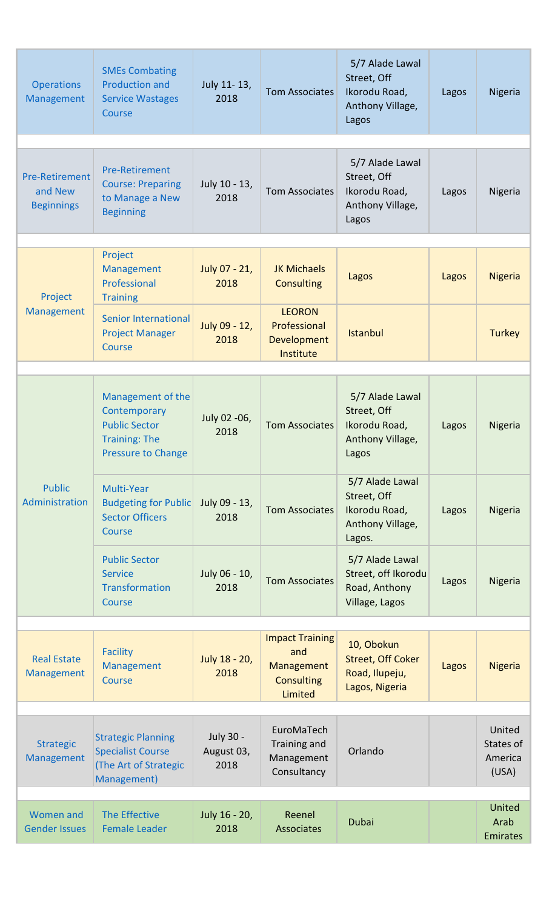| <b>Operations</b><br>Management                       | <b>SMEs Combating</b><br><b>Production and</b><br><b>Service Wastages</b><br>Course                            | July 11-13,<br>2018             | <b>Tom Associates</b>                                                       | 5/7 Alade Lawal<br>Street, Off<br>Ikorodu Road,<br>Anthony Village,<br>Lagos  | Lagos | Nigeria                                 |
|-------------------------------------------------------|----------------------------------------------------------------------------------------------------------------|---------------------------------|-----------------------------------------------------------------------------|-------------------------------------------------------------------------------|-------|-----------------------------------------|
| <b>Pre-Retirement</b><br>and New<br><b>Beginnings</b> | <b>Pre-Retirement</b><br><b>Course: Preparing</b><br>to Manage a New<br><b>Beginning</b>                       | July 10 - 13,<br>2018           | <b>Tom Associates</b>                                                       | 5/7 Alade Lawal<br>Street, Off<br>Ikorodu Road,<br>Anthony Village,<br>Lagos  | Lagos | Nigeria                                 |
| Project                                               | Project<br>Management<br>Professional<br><b>Training</b>                                                       | July 07 - 21,<br>2018           | <b>JK Michaels</b><br><b>Consulting</b>                                     | Lagos                                                                         | Lagos | <b>Nigeria</b>                          |
| Management                                            | <b>Senior International</b><br><b>Project Manager</b><br>Course                                                | July 09 - 12,<br>2018           | <b>LEORON</b><br>Professional<br><b>Development</b><br>Institute            | Istanbul                                                                      |       | <b>Turkey</b>                           |
|                                                       |                                                                                                                |                                 |                                                                             |                                                                               |       |                                         |
| <b>Public</b><br>Administration                       | Management of the<br>Contemporary<br><b>Public Sector</b><br><b>Training: The</b><br><b>Pressure to Change</b> | July 02 -06,<br>2018            | <b>Tom Associates</b>                                                       | 5/7 Alade Lawal<br>Street, Off<br>Ikorodu Road,<br>Anthony Village,<br>Lagos  | Lagos | <b>Nigeria</b>                          |
|                                                       | Multi-Year<br><b>Budgeting for Public</b><br><b>Sector Officers</b><br>Course                                  | July 09 - 13,<br>2018           | <b>Tom Associates</b>                                                       | 5/7 Alade Lawal<br>Street, Off<br>Ikorodu Road,<br>Anthony Village,<br>Lagos. | Lagos | Nigeria                                 |
|                                                       | <b>Public Sector</b><br><b>Service</b><br>Transformation<br>Course                                             | July 06 - 10,<br>2018           | <b>Tom Associates</b>                                                       | 5/7 Alade Lawal<br>Street, off Ikorodu<br>Road, Anthony<br>Village, Lagos     | Lagos | <b>Nigeria</b>                          |
|                                                       |                                                                                                                |                                 |                                                                             |                                                                               |       |                                         |
| <b>Real Estate</b><br>Management                      | <b>Facility</b><br>Management<br>Course                                                                        | July 18 - 20,<br>2018           | <b>Impact Training</b><br>and<br>Management<br><b>Consulting</b><br>Limited | 10, Obokun<br><b>Street, Off Coker</b><br>Road, Ilupeju,<br>Lagos, Nigeria    | Lagos | <b>Nigeria</b>                          |
|                                                       |                                                                                                                |                                 |                                                                             |                                                                               |       |                                         |
| <b>Strategic</b><br>Management                        | <b>Strategic Planning</b><br><b>Specialist Course</b><br>(The Art of Strategic<br>Management)                  | July 30 -<br>August 03,<br>2018 | EuroMaTech<br>Training and<br>Management<br>Consultancy                     | Orlando                                                                       |       | United<br>States of<br>America<br>(USA) |
|                                                       |                                                                                                                |                                 |                                                                             |                                                                               |       |                                         |
| Women and<br><b>Gender Issues</b>                     | The Effective<br><b>Female Leader</b>                                                                          | July 16 - 20,<br>2018           | Reenel<br>Associates                                                        | Dubai                                                                         |       | United<br>Arab<br><b>Emirates</b>       |